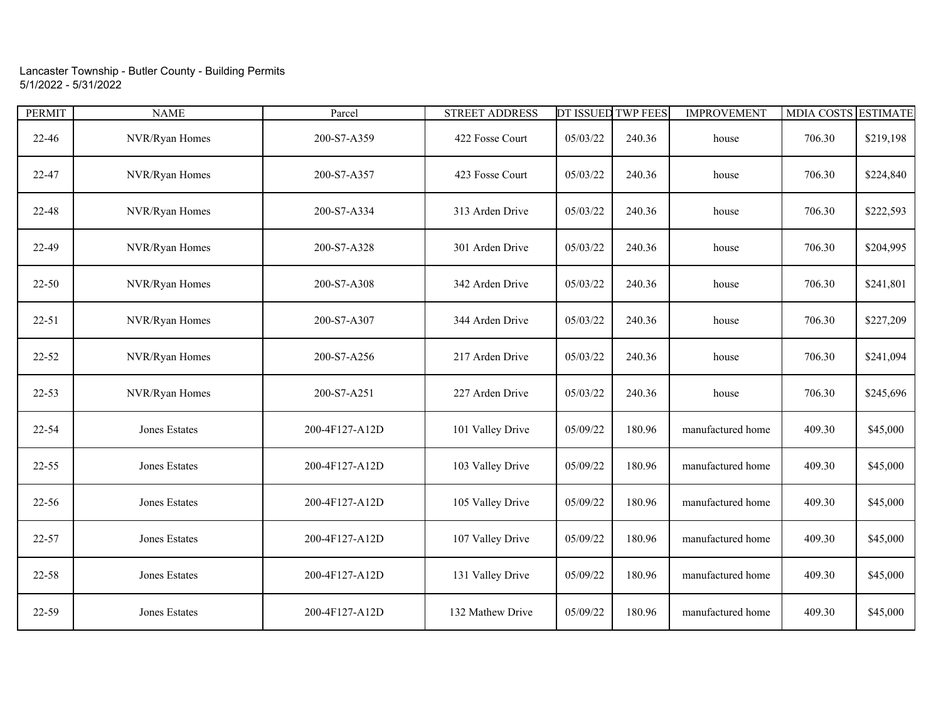## Lancaster Township - Butler County - Building Permits 5/1/2022 - 5/31/2022

| <b>PERMIT</b> | <b>NAME</b>          | Parcel         | <b>STREET ADDRESS</b> | DT ISSUED TWP FEES |        | <b>IMPROVEMENT</b> | MDIA COSTS ESTIMATE |           |
|---------------|----------------------|----------------|-----------------------|--------------------|--------|--------------------|---------------------|-----------|
| $22 - 46$     | NVR/Ryan Homes       | 200-S7-A359    | 422 Fosse Court       | 05/03/22           | 240.36 | house              | 706.30              | \$219,198 |
| 22-47         | NVR/Ryan Homes       | 200-S7-A357    | 423 Fosse Court       | 05/03/22           | 240.36 | house              | 706.30              | \$224,840 |
| 22-48         | NVR/Ryan Homes       | 200-S7-A334    | 313 Arden Drive       | 05/03/22           | 240.36 | house              | 706.30              | \$222,593 |
| 22-49         | NVR/Ryan Homes       | 200-S7-A328    | 301 Arden Drive       | 05/03/22           | 240.36 | house              | 706.30              | \$204,995 |
| $22 - 50$     | NVR/Ryan Homes       | 200-S7-A308    | 342 Arden Drive       | 05/03/22           | 240.36 | house              | 706.30              | \$241,801 |
| $22 - 51$     | NVR/Ryan Homes       | 200-S7-A307    | 344 Arden Drive       | 05/03/22           | 240.36 | house              | 706.30              | \$227,209 |
| $22 - 52$     | NVR/Ryan Homes       | 200-S7-A256    | 217 Arden Drive       | 05/03/22           | 240.36 | house              | 706.30              | \$241,094 |
| $22 - 53$     | NVR/Ryan Homes       | 200-S7-A251    | 227 Arden Drive       | 05/03/22           | 240.36 | house              | 706.30              | \$245,696 |
| $22 - 54$     | <b>Jones Estates</b> | 200-4F127-A12D | 101 Valley Drive      | 05/09/22           | 180.96 | manufactured home  | 409.30              | \$45,000  |
| $22 - 55$     | Jones Estates        | 200-4F127-A12D | 103 Valley Drive      | 05/09/22           | 180.96 | manufactured home  | 409.30              | \$45,000  |
| 22-56         | <b>Jones Estates</b> | 200-4F127-A12D | 105 Valley Drive      | 05/09/22           | 180.96 | manufactured home  | 409.30              | \$45,000  |
| 22-57         | <b>Jones Estates</b> | 200-4F127-A12D | 107 Valley Drive      | 05/09/22           | 180.96 | manufactured home  | 409.30              | \$45,000  |
| 22-58         | Jones Estates        | 200-4F127-A12D | 131 Valley Drive      | 05/09/22           | 180.96 | manufactured home  | 409.30              | \$45,000  |
| 22-59         | <b>Jones Estates</b> | 200-4F127-A12D | 132 Mathew Drive      | 05/09/22           | 180.96 | manufactured home  | 409.30              | \$45,000  |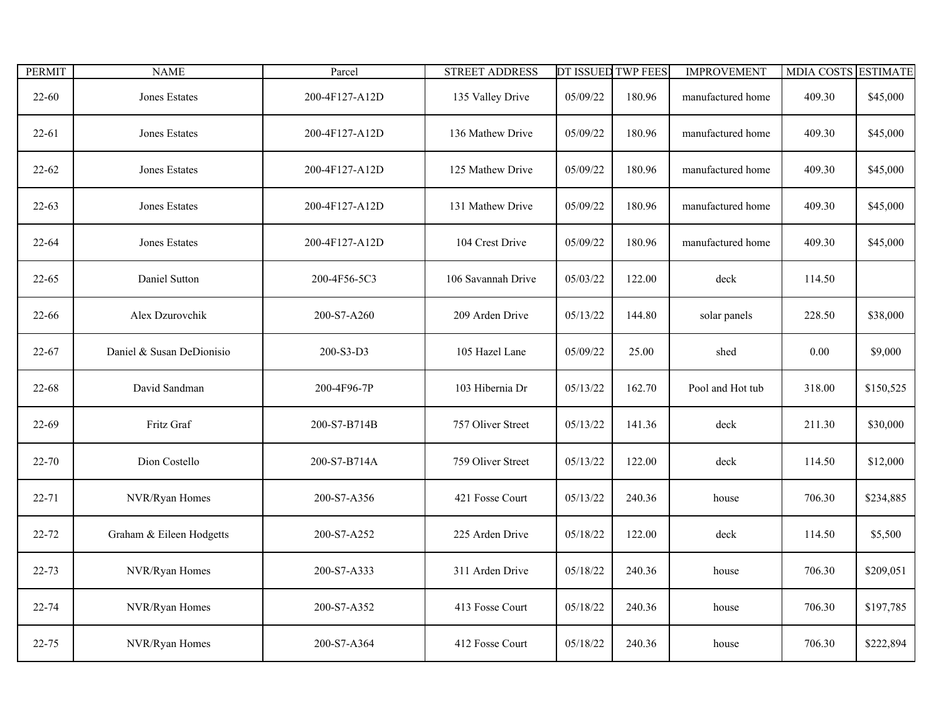| <b>PERMIT</b> | <b>NAME</b>               | Parcel         | <b>STREET ADDRESS</b> | DT ISSUED TWP FEES |        | <b>IMPROVEMENT</b> | <b>MDIA COSTS ESTIMATE</b> |           |
|---------------|---------------------------|----------------|-----------------------|--------------------|--------|--------------------|----------------------------|-----------|
| $22 - 60$     | <b>Jones Estates</b>      | 200-4F127-A12D | 135 Valley Drive      | 05/09/22           | 180.96 | manufactured home  | 409.30                     | \$45,000  |
| $22 - 61$     | <b>Jones Estates</b>      | 200-4F127-A12D | 136 Mathew Drive      | 05/09/22           | 180.96 | manufactured home  | 409.30                     | \$45,000  |
| $22 - 62$     | <b>Jones Estates</b>      | 200-4F127-A12D | 125 Mathew Drive      | 05/09/22           | 180.96 | manufactured home  | 409.30                     | \$45,000  |
| $22-63$       | Jones Estates             | 200-4F127-A12D | 131 Mathew Drive      | 05/09/22           | 180.96 | manufactured home  | 409.30                     | \$45,000  |
| $22 - 64$     | <b>Jones Estates</b>      | 200-4F127-A12D | 104 Crest Drive       | 05/09/22           | 180.96 | manufactured home  | 409.30                     | \$45,000  |
| $22 - 65$     | Daniel Sutton             | 200-4F56-5C3   | 106 Savannah Drive    | 05/03/22           | 122.00 | deck               | 114.50                     |           |
| 22-66         | Alex Dzurovchik           | 200-S7-A260    | 209 Arden Drive       | 05/13/22           | 144.80 | solar panels       | 228.50                     | \$38,000  |
| $22 - 67$     | Daniel & Susan DeDionisio | 200-S3-D3      | 105 Hazel Lane        | 05/09/22           | 25.00  | shed               | $0.00\,$                   | \$9,000   |
| 22-68         | David Sandman             | 200-4F96-7P    | 103 Hibernia Dr       | 05/13/22           | 162.70 | Pool and Hot tub   | 318.00                     | \$150,525 |
| $22 - 69$     | Fritz Graf                | 200-S7-B714B   | 757 Oliver Street     | 05/13/22           | 141.36 | deck               | 211.30                     | \$30,000  |
| $22 - 70$     | Dion Costello             | 200-S7-B714A   | 759 Oliver Street     | 05/13/22           | 122.00 | deck               | 114.50                     | \$12,000  |
| $22 - 71$     | NVR/Ryan Homes            | 200-S7-A356    | 421 Fosse Court       | 05/13/22           | 240.36 | house              | 706.30                     | \$234,885 |
| 22-72         | Graham & Eileen Hodgetts  | 200-S7-A252    | 225 Arden Drive       | 05/18/22           | 122.00 | deck               | 114.50                     | \$5,500   |
| $22 - 73$     | NVR/Ryan Homes            | 200-S7-A333    | 311 Arden Drive       | 05/18/22           | 240.36 | house              | 706.30                     | \$209,051 |
| $22 - 74$     | NVR/Ryan Homes            | 200-S7-A352    | 413 Fosse Court       | 05/18/22           | 240.36 | house              | 706.30                     | \$197,785 |
| $22 - 75$     | NVR/Ryan Homes            | 200-S7-A364    | 412 Fosse Court       | 05/18/22           | 240.36 | house              | 706.30                     | \$222,894 |